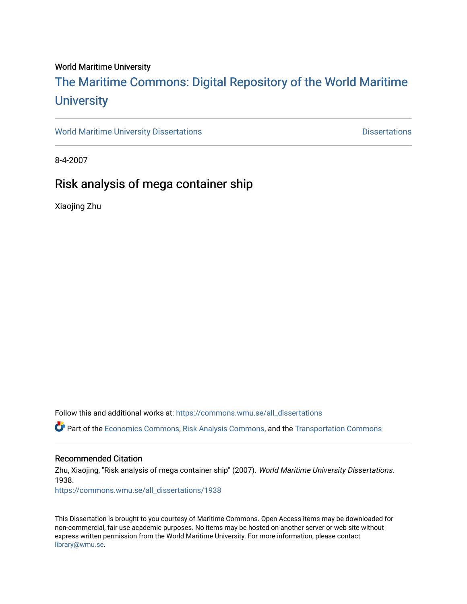## World Maritime University

# [The Maritime Commons: Digital Repository of the World Maritime](https://commons.wmu.se/)  **University**

[World Maritime University Dissertations](https://commons.wmu.se/all_dissertations) **Example 20 and Taylor 10 and Taylor** Dissertations

8-4-2007

# Risk analysis of mega container ship

Xiaojing Zhu

Follow this and additional works at: [https://commons.wmu.se/all\\_dissertations](https://commons.wmu.se/all_dissertations?utm_source=commons.wmu.se%2Fall_dissertations%2F1938&utm_medium=PDF&utm_campaign=PDFCoverPages) 

Part of the [Economics Commons](http://network.bepress.com/hgg/discipline/340?utm_source=commons.wmu.se%2Fall_dissertations%2F1938&utm_medium=PDF&utm_campaign=PDFCoverPages), [Risk Analysis Commons,](http://network.bepress.com/hgg/discipline/1199?utm_source=commons.wmu.se%2Fall_dissertations%2F1938&utm_medium=PDF&utm_campaign=PDFCoverPages) and the [Transportation Commons](http://network.bepress.com/hgg/discipline/1068?utm_source=commons.wmu.se%2Fall_dissertations%2F1938&utm_medium=PDF&utm_campaign=PDFCoverPages) 

## Recommended Citation

Zhu, Xiaojing, "Risk analysis of mega container ship" (2007). World Maritime University Dissertations. 1938. [https://commons.wmu.se/all\\_dissertations/1938](https://commons.wmu.se/all_dissertations/1938?utm_source=commons.wmu.se%2Fall_dissertations%2F1938&utm_medium=PDF&utm_campaign=PDFCoverPages)

This Dissertation is brought to you courtesy of Maritime Commons. Open Access items may be downloaded for non-commercial, fair use academic purposes. No items may be hosted on another server or web site without express written permission from the World Maritime University. For more information, please contact [library@wmu.se](mailto:library@wmu.edu).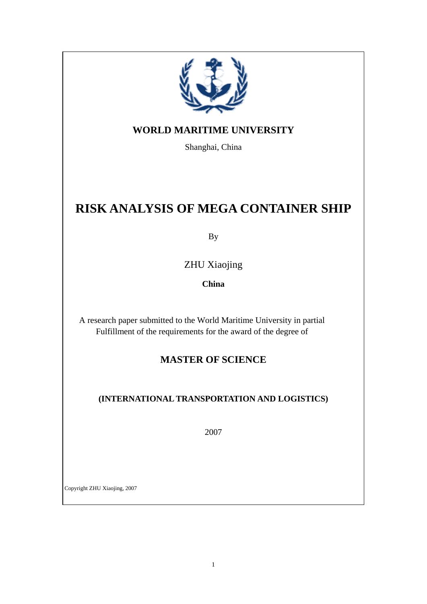

# **WORLD MARITIME UNIVERSITY**

Shanghai, China

# **RISK ANALYSIS OF MEGA CONTAINER SHIP**

By

ZHU Xiaojing

**China** 

A research paper submitted to the World Maritime University in partial Fulfillment of the requirements for the award of the degree of

# **MASTER OF SCIENCE**

# **(INTERNATIONAL TRANSPORTATION AND LOGISTICS)**

2007

Copyright ZHU Xiaojing, 2007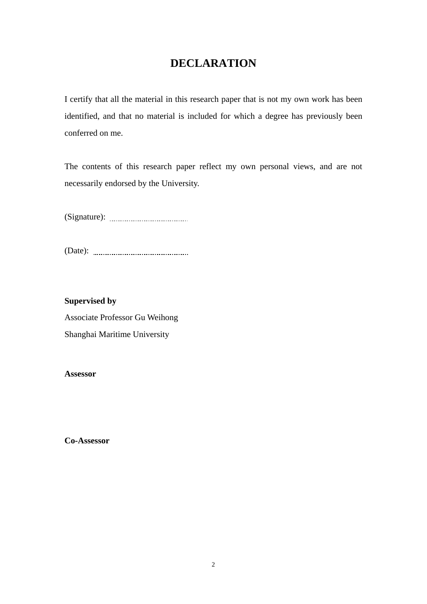# **DECLARATION**

<span id="page-2-0"></span>I certify that all the material in this research paper that is not my own work has been identified, and that no material is included for which a degree has previously been conferred on me.

The contents of this research paper reflect my own personal views, and are not necessarily endorsed by the University.

(Signature):

(Date):

**Supervised by**  Associate Professor Gu Weihong Shanghai Maritime University

**Assessor** 

**Co-Assessor**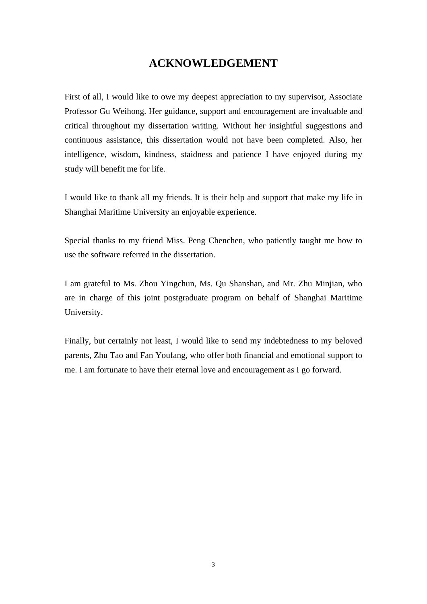# **ACKNOWLEDGEMENT**

<span id="page-3-0"></span>First of all, I would like to owe my deepest appreciation to my supervisor, Associate Professor Gu Weihong. Her guidance, support and encouragement are invaluable and critical throughout my dissertation writing. Without her insightful suggestions and continuous assistance, this dissertation would not have been completed. Also, her intelligence, wisdom, kindness, staidness and patience I have enjoyed during my study will benefit me for life.

I would like to thank all my friends. It is their help and support that make my life in Shanghai Maritime University an enjoyable experience.

Special thanks to my friend Miss. Peng Chenchen, who patiently taught me how to use the software referred in the dissertation.

I am grateful to Ms. Zhou Yingchun, Ms. Qu Shanshan, and Mr. Zhu Minjian, who are in charge of this joint postgraduate program on behalf of Shanghai Maritime University.

Finally, but certainly not least, I would like to send my indebtedness to my beloved parents, Zhu Tao and Fan Youfang, who offer both financial and emotional support to me. I am fortunate to have their eternal love and encouragement as I go forward.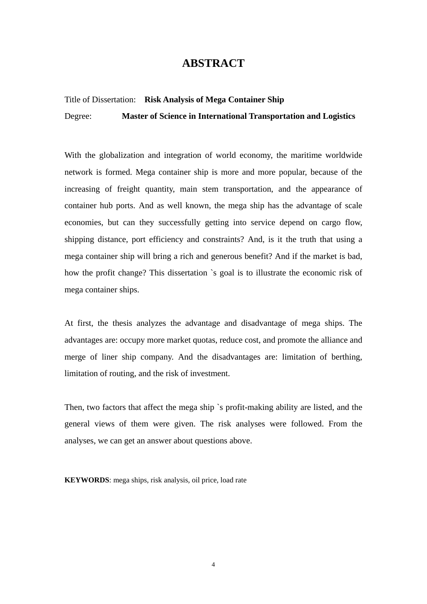# **ABSTRACT**

#### <span id="page-4-0"></span>Title of Dissertation: **Risk Analysis of Mega Container Ship**

Degree: **Master of Science in International Transportation and Logistics** 

With the globalization and integration of world economy, the maritime worldwide network is formed. Mega container ship is more and more popular, because of the increasing of freight quantity, main stem transportation, and the appearance of container hub ports. And as well known, the mega ship has the advantage of scale economies, but can they successfully getting into service depend on cargo flow, shipping distance, port efficiency and constraints? And, is it the truth that using a mega container ship will bring a rich and generous benefit? And if the market is bad, how the profit change? This dissertation `s goal is to illustrate the economic risk of mega container ships.

At first, the thesis analyzes the advantage and disadvantage of mega ships. The advantages are: occupy more market quotas, reduce cost, and promote the alliance and merge of liner ship company. And the disadvantages are: limitation of berthing, limitation of routing, and the risk of investment.

Then, two factors that affect the mega ship `s profit-making ability are listed, and the general views of them were given. The risk analyses were followed. From the analyses, we can get an answer about questions above.

**KEYWORDS**: mega ships, risk analysis, oil price, load rate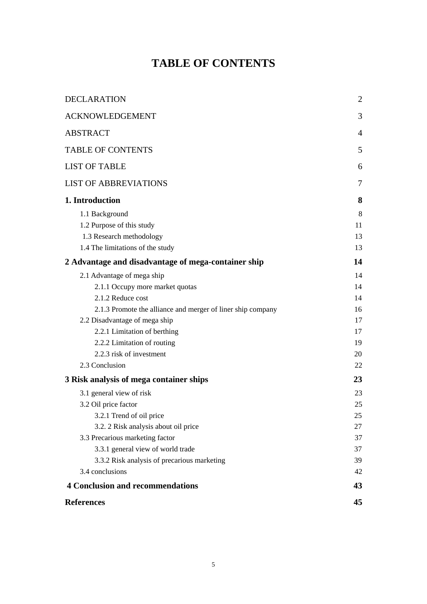# **TABLE OF CONTENTS**

<span id="page-5-0"></span>

| <b>DECLARATION</b>                                          | $\overline{2}$ |
|-------------------------------------------------------------|----------------|
| <b>ACKNOWLEDGEMENT</b>                                      | 3              |
| <b>ABSTRACT</b>                                             | $\overline{4}$ |
| <b>TABLE OF CONTENTS</b>                                    | 5              |
| <b>LIST OF TABLE</b>                                        | 6              |
| <b>LIST OF ABBREVIATIONS</b>                                | 7              |
| 1. Introduction                                             | 8              |
| 1.1 Background                                              | 8              |
| 1.2 Purpose of this study                                   | 11             |
| 1.3 Research methodology                                    | 13             |
| 1.4 The limitations of the study                            | 13             |
| 2 Advantage and disadvantage of mega-container ship         | 14             |
| 2.1 Advantage of mega ship                                  | 14             |
| 2.1.1 Occupy more market quotas                             | 14             |
| 2.1.2 Reduce cost                                           | 14             |
| 2.1.3 Promote the alliance and merger of liner ship company | 16             |
| 2.2 Disadvantage of mega ship                               | 17             |
| 2.2.1 Limitation of berthing                                | 17             |
| 2.2.2 Limitation of routing                                 | 19             |
| 2.2.3 risk of investment                                    | 20             |
| 2.3 Conclusion                                              | 22             |
| 3 Risk analysis of mega container ships                     | 23             |
| 3.1 general view of risk                                    | 23             |
| 3.2 Oil price factor                                        | 25             |
| 3.2.1 Trend of oil price                                    | 25             |
| 3.2. 2 Risk analysis about oil price                        | 27             |
| 3.3 Precarious marketing factor                             | 37             |
| 3.3.1 general view of world trade                           | 37             |
| 3.3.2 Risk analysis of precarious marketing                 | 39             |
| 3.4 conclusions                                             | 42             |
| <b>4 Conclusion and recommendations</b>                     | 43             |
| <b>References</b>                                           | 45             |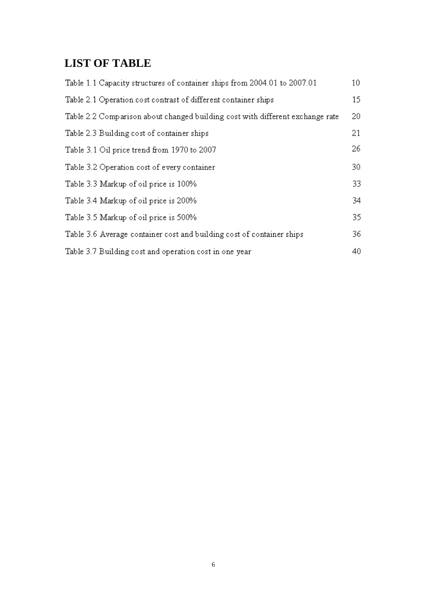# <span id="page-6-0"></span>**LIST OF TABLE**

| Table 1.1 Capacity structures of container ships from 2004.01 to 2007.01      | 10 <sup>°</sup> |
|-------------------------------------------------------------------------------|-----------------|
| Table 2.1 Operation cost contrast of different container ships                | 15              |
| Table 2.2 Comparison about changed building cost with different exchange rate | 20              |
| Table 2.3 Building cost of container ships                                    | 21              |
| Table 3.1 Oil price trend from 1970 to 2007                                   | 26              |
| Table 3.2 Operation cost of every container                                   | 30              |
| Table 3.3 Markup of oil price is 100%                                         | 33              |
| Table 3.4 Markup of oil price is 200%                                         | 34              |
| Table 3.5 Markup of oil price is 500%                                         | 35              |
| Table 3.6 Average container cost and building cost of container ships         | 36              |
| Table 3.7 Building cost and operation cost in one year                        | 40              |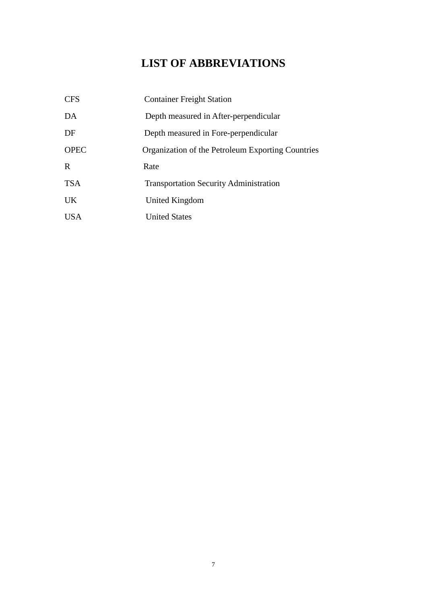# **LIST OF ABBREVIATIONS**

<span id="page-7-0"></span>

| <b>CFS</b>  | <b>Container Freight Station</b>                  |
|-------------|---------------------------------------------------|
| DA          | Depth measured in After-perpendicular             |
| DF          | Depth measured in Fore-perpendicular              |
| <b>OPEC</b> | Organization of the Petroleum Exporting Countries |
| R           | Rate                                              |
| <b>TSA</b>  | <b>Transportation Security Administration</b>     |
| <b>UK</b>   | United Kingdom                                    |
| <b>USA</b>  | <b>United States</b>                              |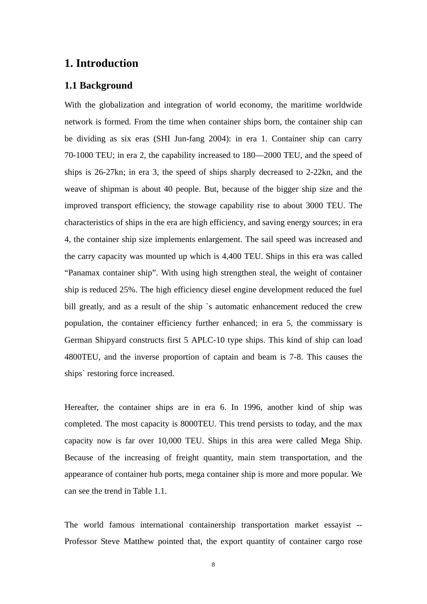# <span id="page-8-0"></span>**1. Introduction**

# **1.1 Background**

With the globalization and integration of world economy, the maritime worldwide network is formed. From the time when container ships born, the container ship can be dividing as six eras (SHI Jun-fang 2004): in era 1. Container ship can carry 70-1000 TEU; in era 2, the capability increased to 180—2000 TEU, and the speed of ships is 26-27kn; in era 3, the speed of ships sharply decreased to 2-22kn, and the weave of shipman is about 40 people. But, because of the bigger ship size and the improved transport efficiency, the stowage capability rise to about 3000 TEU. The characteristics of ships in the era are high efficiency, and saving energy sources; in era 4, the container ship size implements enlargement. The sail speed was increased and the carry capacity was mounted up which is 4,400 TEU. Ships in this era was called "Panamax container ship". With using high strengthen steal, the weight of container ship is reduced 25%. The high efficiency diesel engine development reduced the fuel bill greatly, and as a result of the ship `s automatic enhancement reduced the crew population, the container efficiency further enhanced; in era 5, the commissary is German Shipyard constructs first 5 APLC-10 type ships. This kind of ship can load 4800TEU, and the inverse proportion of captain and beam is 7-8. This causes the ships` restoring force increased.

Hereafter, the container ships are in era 6. In 1996, another kind of ship was completed. The most capacity is 8000TEU. This trend persists to today, and the max capacity now is far over 10,000 TEU. Ships in this area were called Mega Ship. Because of the increasing of freight quantity, main stem transportation, and the appearance of container hub ports, mega container ship is more and more popular. We can see the trend in Table 1.1.

The world famous international containership transportation market essayist -- Professor Steve Matthew pointed that, the export quantity of container cargo rose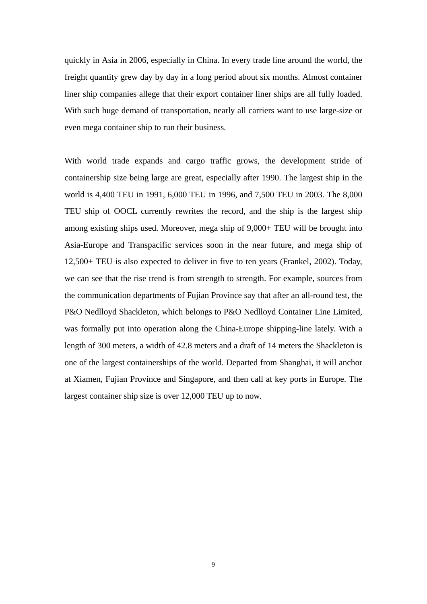quickly in Asia in 2006, especially in China. In every trade line around the world, the freight quantity grew day by day in a long period about six months. Almost container liner ship companies allege that their export container liner ships are all fully loaded. With such huge demand of transportation, nearly all carriers want to use large-size or even mega container ship to run their business.

With world trade expands and cargo traffic grows, the development stride of containership size being large are great, especially after 1990. The largest ship in the world is 4,400 TEU in 1991, 6,000 TEU in 1996, and 7,500 TEU in 2003. The 8,000 TEU ship of OOCL currently rewrites the record, and the ship is the largest ship among existing ships used. Moreover, mega ship of 9,000+ TEU will be brought into Asia-Europe and Transpacific services soon in the near future, and mega ship of 12,500+ TEU is also expected to deliver in five to ten years (Frankel, 2002). Today, we can see that the rise trend is from strength to strength. For example, sources from the communication departments of Fujian Province say that after an all-round test, the P&O Nedlloyd Shackleton, which belongs to P&O Nedlloyd Container Line Limited, was formally put into operation along the China-Europe shipping-line lately. With a length of 300 meters, a width of 42.8 meters and a draft of 14 meters the Shackleton is one of the largest containerships of the world. Departed from Shanghai, it will anchor at Xiamen, Fujian Province and Singapore, and then call at key ports in Europe. The largest container ship size is over 12,000 TEU up to now.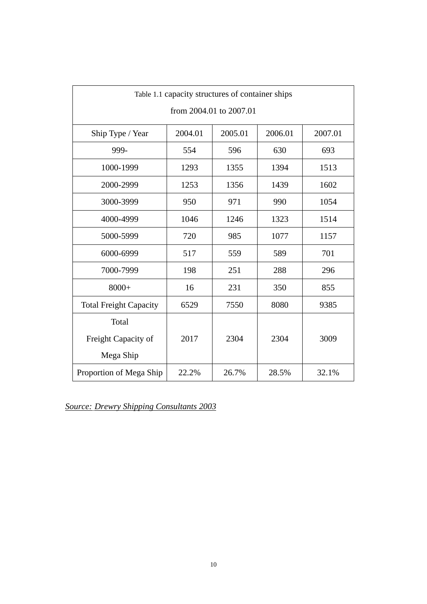| Table 1.1 capacity structures of container ships |         |         |         |         |  |  |  |  |
|--------------------------------------------------|---------|---------|---------|---------|--|--|--|--|
| from 2004.01 to 2007.01                          |         |         |         |         |  |  |  |  |
| Ship Type / Year                                 | 2004.01 | 2005.01 | 2006.01 | 2007.01 |  |  |  |  |
| 999-                                             | 554     | 596     | 630     | 693     |  |  |  |  |
| 1000-1999                                        | 1293    | 1355    | 1394    | 1513    |  |  |  |  |
| 2000-2999                                        | 1253    | 1356    | 1439    | 1602    |  |  |  |  |
| 3000-3999                                        | 950     | 971     | 990     | 1054    |  |  |  |  |
| 4000-4999                                        | 1046    | 1246    | 1323    | 1514    |  |  |  |  |
| 5000-5999                                        | 720     | 985     | 1077    | 1157    |  |  |  |  |
| 6000-6999                                        | 517     | 559     | 589     | 701     |  |  |  |  |
| 7000-7999                                        | 198     | 251     | 288     | 296     |  |  |  |  |
| $8000+$                                          | 16      | 231     | 350     | 855     |  |  |  |  |
| <b>Total Freight Capacity</b>                    | 6529    | 7550    | 8080    | 9385    |  |  |  |  |
| Total                                            |         |         |         |         |  |  |  |  |
| Freight Capacity of                              | 2017    | 2304    | 2304    | 3009    |  |  |  |  |
| Mega Ship                                        |         |         |         |         |  |  |  |  |
| Proportion of Mega Ship                          | 22.2%   | 26.7%   | 28.5%   | 32.1%   |  |  |  |  |

*Source: Drewry Shipping Consultants 2003*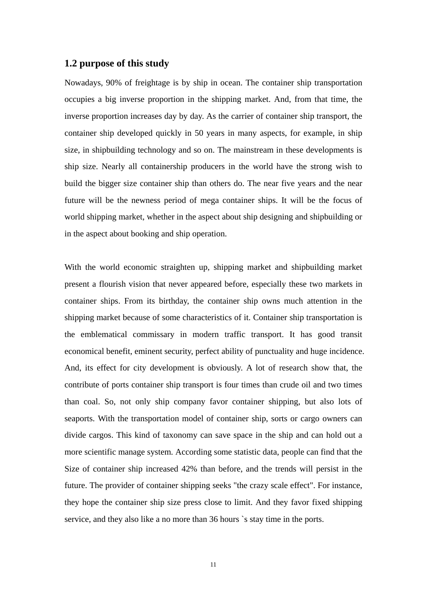# <span id="page-11-0"></span>**1.2 purpose of this study**

Nowadays, 90% of freightage is by ship in ocean. The container ship transportation occupies a big inverse proportion in the shipping market. And, from that time, the inverse proportion increases day by day. As the carrier of container ship transport, the container ship developed quickly in 50 years in many aspects, for example, in ship size, in shipbuilding technology and so on. The mainstream in these developments is ship size. Nearly all containership producers in the world have the strong wish to build the bigger size container ship than others do. The near five years and the near future will be the newness period of mega container ships. It will be the focus of world shipping market, whether in the aspect about ship designing and shipbuilding or in the aspect about booking and ship operation.

With the world economic straighten up, shipping market and shipbuilding market present a flourish vision that never appeared before, especially these two markets in container ships. From its birthday, the container ship owns much attention in the shipping market because of some characteristics of it. Container ship transportation is the emblematical commissary in modern traffic transport. It has good transit economical benefit, eminent security, perfect ability of punctuality and huge incidence. And, its effect for city development is obviously. A lot of research show that, the contribute of ports container ship transport is four times than crude oil and two times than coal. So, not only ship company favor container shipping, but also lots of seaports. With the transportation model of container ship, sorts or cargo owners can divide cargos. This kind of taxonomy can save space in the ship and can hold out a more scientific manage system. According some statistic data, people can find that the Size of container ship increased 42% than before, and the trends will persist in the future. The provider of container shipping seeks "the crazy scale effect". For instance, they hope the container ship size press close to limit. And they favor fixed shipping service, and they also like a no more than 36 hours `s stay time in the ports.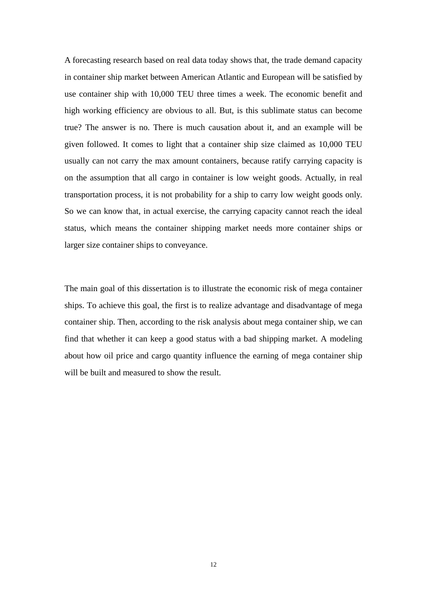A forecasting research based on real data today shows that, the trade demand capacity in container ship market between American Atlantic and European will be satisfied by use container ship with 10,000 TEU three times a week. The economic benefit and high working efficiency are obvious to all. But, is this sublimate status can become true? The answer is no. There is much causation about it, and an example will be given followed. It comes to light that a container ship size claimed as 10,000 TEU usually can not carry the max amount containers, because ratify carrying capacity is on the assumption that all cargo in container is low weight goods. Actually, in real transportation process, it is not probability for a ship to carry low weight goods only. So we can know that, in actual exercise, the carrying capacity cannot reach the ideal status, which means the container shipping market needs more container ships or larger size container ships to conveyance.

The main goal of this dissertation is to illustrate the economic risk of mega container ships. To achieve this goal, the first is to realize advantage and disadvantage of mega container ship. Then, according to the risk analysis about mega container ship, we can find that whether it can keep a good status with a bad shipping market. A modeling about how oil price and cargo quantity influence the earning of mega container ship will be built and measured to show the result.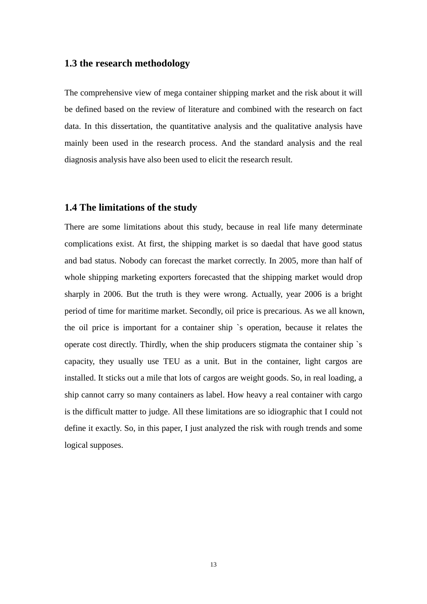# <span id="page-13-0"></span>**1.3 the research methodology**

The comprehensive view of mega container shipping market and the risk about it will be defined based on the review of literature and combined with the research on fact data. In this dissertation, the quantitative analysis and the qualitative analysis have mainly been used in the research process. And the standard analysis and the real diagnosis analysis have also been used to elicit the research result.

## **1.4 The limitations of the study**

There are some limitations about this study, because in real life many determinate complications exist. At first, the shipping market is so daedal that have good status and bad status. Nobody can forecast the market correctly. In 2005, more than half of whole shipping marketing exporters forecasted that the shipping market would drop sharply in 2006. But the truth is they were wrong. Actually, year 2006 is a bright period of time for maritime market. Secondly, oil price is precarious. As we all known, the oil price is important for a container ship `s operation, because it relates the operate cost directly. Thirdly, when the ship producers stigmata the container ship `s capacity, they usually use TEU as a unit. But in the container, light cargos are installed. It sticks out a mile that lots of cargos are weight goods. So, in real loading, a ship cannot carry so many containers as label. How heavy a real container with cargo is the difficult matter to judge. All these limitations are so idiographic that I could not define it exactly. So, in this paper, I just analyzed the risk with rough trends and some logical supposes.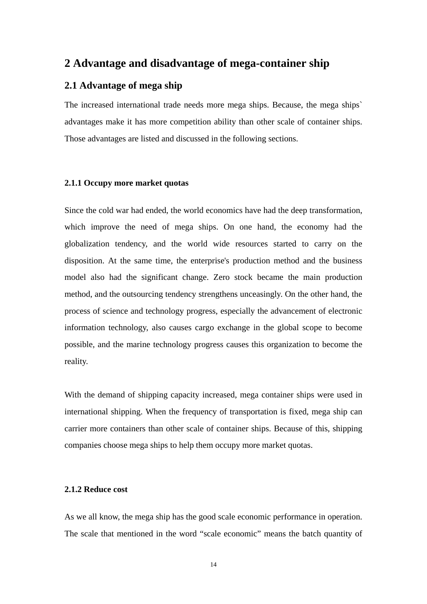# <span id="page-14-0"></span>**2 Advantage and disadvantage of mega-container ship**

# **2.1 Advantage of mega ship**

The increased international trade needs more mega ships. Because, the mega ships` advantages make it has more competition ability than other scale of container ships. Those advantages are listed and discussed in the following sections.

### **2.1.1 Occupy more market quotas**

Since the cold war had ended, the world economics have had the deep transformation, which improve the need of mega ships. On one hand, the economy had the globalization tendency, and the world wide resources started to carry on the disposition. At the same time, the enterprise's production method and the business model also had the significant change. Zero stock became the main production method, and the outsourcing tendency strengthens unceasingly. On the other hand, the process of science and technology progress, especially the advancement of electronic information technology, also causes cargo exchange in the global scope to become possible, and the marine technology progress causes this organization to become the reality.

With the demand of shipping capacity increased, mega container ships were used in international shipping. When the frequency of transportation is fixed, mega ship can carrier more containers than other scale of container ships. Because of this, shipping companies choose mega ships to help them occupy more market quotas.

#### **2.1.2 Reduce cost**

As we all know, the mega ship has the good scale economic performance in operation. The scale that mentioned in the word "scale economic" means the batch quantity of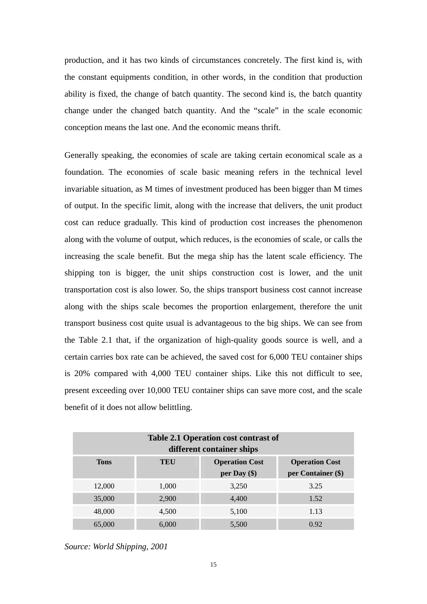production, and it has two kinds of circumstances concretely. The first kind is, with the constant equipments condition, in other words, in the condition that production ability is fixed, the change of batch quantity. The second kind is, the batch quantity change under the changed batch quantity. And the "scale" in the scale economic conception means the last one. And the economic means thrift.

Generally speaking, the economies of scale are taking certain economical scale as a foundation. The economies of scale basic meaning refers in the technical level invariable situation, as M times of investment produced has been bigger than M times of output. In the specific limit, along with the increase that delivers, the unit product cost can reduce gradually. This kind of production cost increases the phenomenon along with the volume of output, which reduces, is the economies of scale, or calls the increasing the scale benefit. But the mega ship has the latent scale efficiency. The shipping ton is bigger, the unit ships construction cost is lower, and the unit transportation cost is also lower. So, the ships transport business cost cannot increase along with the ships scale becomes the proportion enlargement, therefore the unit transport business cost quite usual is advantageous to the big ships. We can see from the Table 2.1 that, if the organization of high-quality goods source is well, and a certain carries box rate can be achieved, the saved cost for 6,000 TEU container ships is 20% compared with 4,000 TEU container ships. Like this not difficult to see, present exceeding over 10,000 TEU container ships can save more cost, and the scale benefit of it does not allow belittling.

| Table 2.1 Operation cost contrast of<br>different container ships |       |                                         |                                             |  |  |  |
|-------------------------------------------------------------------|-------|-----------------------------------------|---------------------------------------------|--|--|--|
| <b>Tons</b>                                                       | TEU   | <b>Operation Cost</b><br>per Day $(\$)$ | <b>Operation Cost</b><br>per Container (\$) |  |  |  |
| 12,000                                                            | 1,000 | 3,250                                   | 3.25                                        |  |  |  |
| 35,000                                                            | 2,900 | 4,400                                   | 1.52                                        |  |  |  |
| 48,000                                                            | 4,500 | 5,100                                   | 1.13                                        |  |  |  |
| 65,000                                                            | 6,000 | 5,500                                   | 0.92                                        |  |  |  |

*Source: World Shipping, 2001*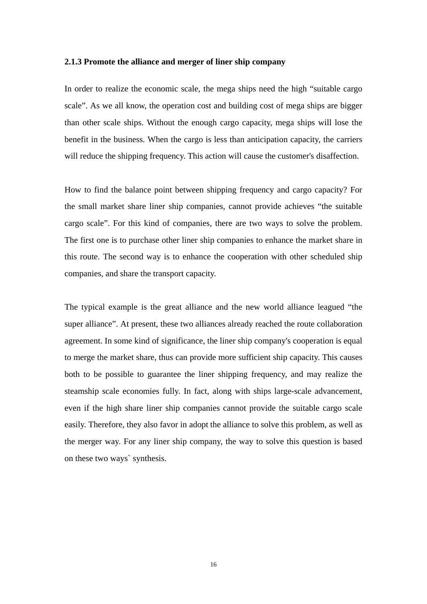#### <span id="page-16-0"></span>**2.1.3 Promote the alliance and merger of liner ship company**

In order to realize the economic scale, the mega ships need the high "suitable cargo scale". As we all know, the operation cost and building cost of mega ships are bigger than other scale ships. Without the enough cargo capacity, mega ships will lose the benefit in the business. When the cargo is less than anticipation capacity, the carriers will reduce the shipping frequency. This action will cause the customer's disaffection.

How to find the balance point between shipping frequency and cargo capacity? For the small market share liner ship companies, cannot provide achieves "the suitable cargo scale". For this kind of companies, there are two ways to solve the problem. The first one is to purchase other liner ship companies to enhance the market share in this route. The second way is to enhance the cooperation with other scheduled ship companies, and share the transport capacity.

The typical example is the great alliance and the new world alliance leagued "the super alliance". At present, these two alliances already reached the route collaboration agreement. In some kind of significance, the liner ship company's cooperation is equal to merge the market share, thus can provide more sufficient ship capacity. This causes both to be possible to guarantee the liner shipping frequency, and may realize the steamship scale economies fully. In fact, along with ships large-scale advancement, even if the high share liner ship companies cannot provide the suitable cargo scale easily. Therefore, they also favor in adopt the alliance to solve this problem, as well as the merger way. For any liner ship company, the way to solve this question is based on these two ways` synthesis.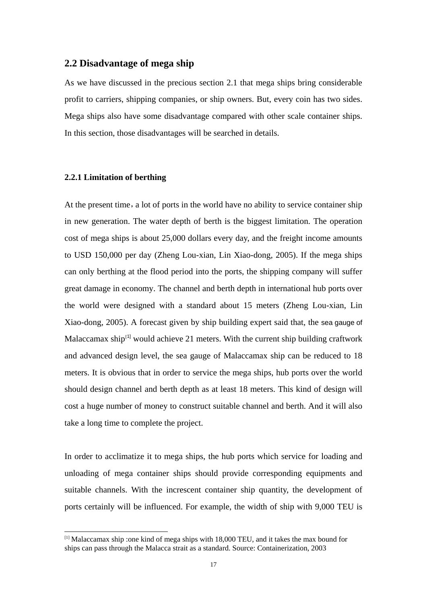# <span id="page-17-0"></span>**2.2 Disadvantage of mega ship**

As we have discussed in the precious section 2.1 that mega ships bring considerable profit to carriers, shipping companies, or ship owners. But, every coin has two sides. Mega ships also have some disadvantage compared with other scale container ships. In this section, those disadvantages will be searched in details.

### **2.2.1 Limitation of berthing**

<u>.</u>

At the present time, a lot of ports in the world have no ability to service container ship in new generation. The water depth of berth is the biggest limitation. The operation cost of mega ships is about 25,000 dollars every day, and the freight income amounts to USD 150,000 per day (Zheng Lou-xian, Lin Xiao-dong, 2005). If the mega ships can only berthing at the flood period into the ports, the shipping company will suffer great damage in economy. The channel and berth depth in international hub ports over the world were designed with a standard about 15 meters (Zheng Lou-xian, Lin Xiao-dong, 2005). A forecast given by ship building expert said that, the sea gauge of Malaccamax ship<sup>[[1\]](#page-17-1)</sup> would achieve 21 meters. With the current ship building craftwork and advanced design level, the sea gauge of Malaccamax ship can be reduced to 18 meters. It is obvious that in order to service the mega ships, hub ports over the world should design channel and berth depth as at least 18 meters. This kind of design will cost a huge number of money to construct suitable channel and berth. And it will also take a long time to complete the project.

In order to acclimatize it to mega ships, the hub ports which service for loading and unloading of mega container ships should provide corresponding equipments and suitable channels. With the increscent container ship quantity, the development of ports certainly will be influenced. For example, the width of ship with 9,000 TEU is

<span id="page-17-1"></span><sup>[1]</sup> Malaccamax ship :one kind of mega ships with 18,000 TEU, and it takes the max bound for ships can pass through the Malacca strait as a standard. Source: Containerization, 2003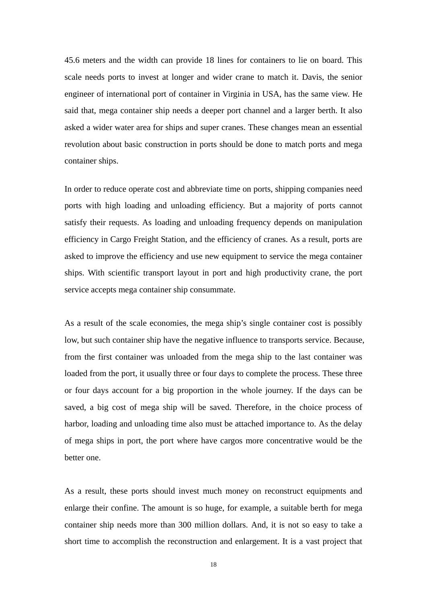45.6 meters and the width can provide 18 lines for containers to lie on board. This scale needs ports to invest at longer and wider crane to match it. Davis, the senior engineer of international port of container in Virginia in USA, has the same view. He said that, mega container ship needs a deeper port channel and a larger berth. It also asked a wider water area for ships and super cranes. These changes mean an essential revolution about basic construction in ports should be done to match ports and mega container ships.

In order to reduce operate cost and abbreviate time on ports, shipping companies need ports with high loading and unloading efficiency. But a majority of ports cannot satisfy their requests. As loading and unloading frequency depends on manipulation efficiency in Cargo Freight Station, and the efficiency of cranes. As a result, ports are asked to improve the efficiency and use new equipment to service the mega container ships. With scientific transport layout in port and high productivity crane, the port service accepts mega container ship consummate.

As a result of the scale economies, the mega ship's single container cost is possibly low, but such container ship have the negative influence to transports service. Because, from the first container was unloaded from the mega ship to the last container was loaded from the port, it usually three or four days to complete the process. These three or four days account for a big proportion in the whole journey. If the days can be saved, a big cost of mega ship will be saved. Therefore, in the choice process of harbor, loading and unloading time also must be attached importance to. As the delay of mega ships in port, the port where have cargos more concentrative would be the better one.

As a result, these ports should invest much money on reconstruct equipments and enlarge their confine. The amount is so huge, for example, a suitable berth for mega container ship needs more than 300 million dollars. And, it is not so easy to take a short time to accomplish the reconstruction and enlargement. It is a vast project that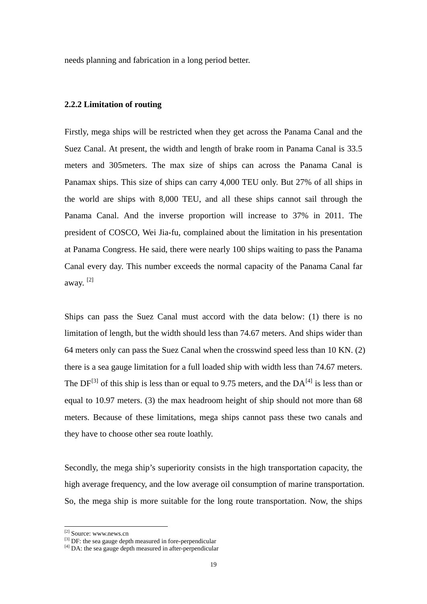<span id="page-19-0"></span>needs planning and fabrication in a long period better.

### **2.2.2 Limitation of routing**

Firstly, mega ships will be restricted when they get across the Panama Canal and the Suez Canal. At present, the width and length of brake room in Panama Canal is 33.5 meters and 305meters. The max size of ships can across the Panama Canal is Panamax ships. This size of ships can carry 4,000 TEU only. But 27% of all ships in the world are ships with 8,000 TEU, and all these ships cannot sail through the Panama Canal. And the inverse proportion will increase to 37% in 2011. The president of COSCO, Wei Jia-fu, complained about the limitation in his presentation at Panama Congress. He said, there were nearly 100 ships waiting to pass the Panama Canal every day. This number exceeds the normal capacity of the Panama Canal far away. [\[2\]](#page-19-1)

Ships can pass the Suez Canal must accord with the data below: (1) there is no limitation of length, but the width should less than 74.67 meters. And ships wider than 64 meters only can pass the Suez Canal when the crosswind speed less than 10 KN. (2) there is a sea gauge limitation for a full loaded ship with width less than 74.67 meters. The  $DF^{[3]}$  $DF^{[3]}$  $DF^{[3]}$  of this ship is less than or equal to 9.75 meters, and the DA<sup>[\[4\]](#page-19-3)</sup> is less than or equal to 10.97 meters. (3) the max headroom height of ship should not more than 68 meters. Because of these limitations, mega ships cannot pass these two canals and they have to choose other sea route loathly.

Secondly, the mega ship's superiority consists in the high transportation capacity, the high average frequency, and the low average oil consumption of marine transportation. So, the mega ship is more suitable for the long route transportation. Now, the ships

-

<sup>[2]</sup> Source: www.news.cn

<span id="page-19-2"></span><span id="page-19-1"></span><sup>[3]</sup> DF: the sea gauge depth measured in fore-perpendicular

<span id="page-19-3"></span> $^{[4]}$  DA: the sea gauge depth measured in after-perpendicular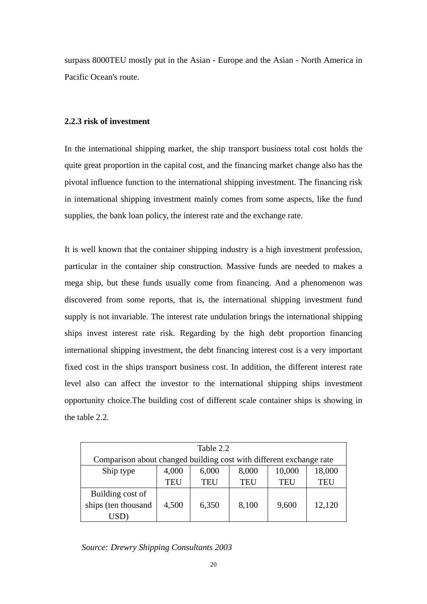<span id="page-20-0"></span>surpass 8000TEU mostly put in the Asian - Europe and the Asian - North America in Pacific Ocean's route.

## **2.2.3 risk of investment**

In the international shipping market, the ship transport business total cost holds the quite great proportion in the capital cost, and the financing market change also has the pivotal influence function to the international shipping investment. The financing risk in international shipping investment mainly comes from some aspects, like the fund supplies, the bank loan policy, the interest rate and the exchange rate.

It is well known that the container shipping industry is a high investment profession, particular in the container ship construction. Massive funds are needed to makes a mega ship, but these funds usually come from financing. And a phenomenon was discovered from some reports, that is, the international shipping investment fund supply is not invariable. The interest rate undulation brings the international shipping ships invest interest rate risk. Regarding by the high debt proportion financing international shipping investment, the debt financing interest cost is a very important fixed cost in the ships transport business cost. In addition, the different interest rate level also can affect the investor to the international shipping ships investment opportunity choice.The building cost of different scale container ships is showing in the table 2.2.

| Table 2.2           |                                                                     |            |            |            |        |  |
|---------------------|---------------------------------------------------------------------|------------|------------|------------|--------|--|
|                     | Comparison about changed building cost with different exchange rate |            |            |            |        |  |
| Ship type           | 4,000                                                               | 6,000      | 8,000      | 10,000     | 18,000 |  |
|                     | <b>TEU</b>                                                          | <b>TEU</b> | <b>TEU</b> | <b>TEU</b> | TEU    |  |
| Building cost of    |                                                                     |            |            |            |        |  |
| ships (ten thousand | 4,500                                                               | 6,350      | 8,100      | 9,600      | 12,120 |  |
| USD                 |                                                                     |            |            |            |        |  |

*Source: Drewry Shipping Consultants 2003*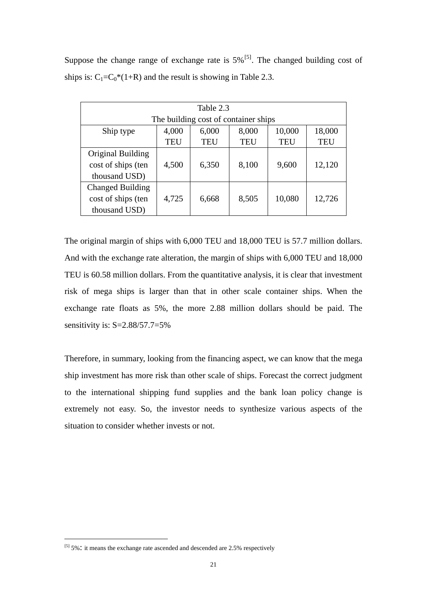| Suppose the change range of exchange rate is $5\%$ <sup>[5]</sup> . The changed building cost of |  |  |
|--------------------------------------------------------------------------------------------------|--|--|
| ships is: $C_1 = C_0$ <sup>*</sup> (1+R) and the result is showing in Table 2.3.                 |  |  |

| Table 2.3                           |            |                                      |            |            |            |  |
|-------------------------------------|------------|--------------------------------------|------------|------------|------------|--|
|                                     |            | The building cost of container ships |            |            |            |  |
| Ship type                           | 4,000      | 6,000                                | 8,000      | 10,000     | 18,000     |  |
|                                     | <b>TEU</b> | <b>TEU</b>                           | <b>TEU</b> | <b>TEU</b> | <b>TEU</b> |  |
| Original Building                   |            |                                      |            |            |            |  |
| cost of ships (ten<br>thousand USD) | 4,500      | 6,350                                | 8,100      | 9,600      | 12,120     |  |
| <b>Changed Building</b>             |            |                                      |            |            |            |  |
| cost of ships (ten                  | 4,725      | 6,668                                | 8,505      | 10,080     | 12,726     |  |
| thousand USD)                       |            |                                      |            |            |            |  |

The original margin of ships with 6,000 TEU and 18,000 TEU is 57.7 million dollars. And with the exchange rate alteration, the margin of ships with 6,000 TEU and 18,000 TEU is 60.58 million dollars. From the quantitative analysis, it is clear that investment risk of mega ships is larger than that in other scale container ships. When the exchange rate floats as 5%, the more 2.88 million dollars should be paid. The sensitivity is: S=2.88/57.7=5%

Therefore, in summary, looking from the financing aspect, we can know that the mega ship investment has more risk than other scale of ships. Forecast the correct judgment to the international shipping fund supplies and the bank loan policy change is extremely not easy. So, the investor needs to synthesize various aspects of the situation to consider whether invests or not.

<u>.</u>

<span id="page-21-0"></span> $[5]$  5%: it means the exchange rate ascended and descended are 2.5% respectively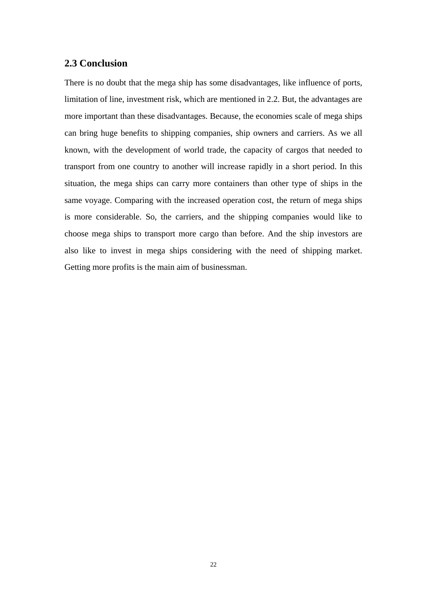# <span id="page-22-0"></span>**2.3 Conclusion**

There is no doubt that the mega ship has some disadvantages, like influence of ports, limitation of line, investment risk, which are mentioned in 2.2. But, the advantages are more important than these disadvantages. Because, the economies scale of mega ships can bring huge benefits to shipping companies, ship owners and carriers. As we all known, with the development of world trade, the capacity of cargos that needed to transport from one country to another will increase rapidly in a short period. In this situation, the mega ships can carry more containers than other type of ships in the same voyage. Comparing with the increased operation cost, the return of mega ships is more considerable. So, the carriers, and the shipping companies would like to choose mega ships to transport more cargo than before. And the ship investors are also like to invest in mega ships considering with the need of shipping market. Getting more profits is the main aim of businessman.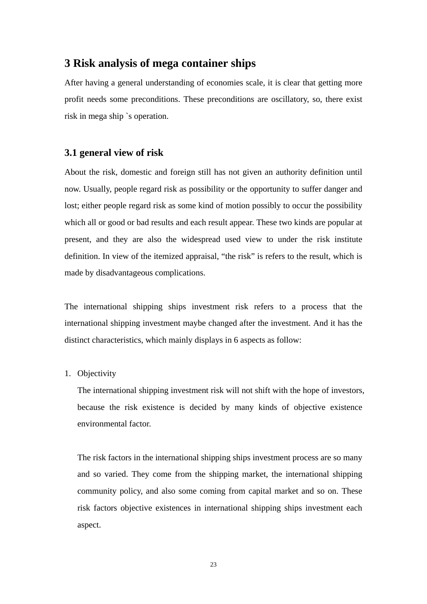# <span id="page-23-0"></span>**3 Risk analysis of mega container ships**

After having a general understanding of economies scale, it is clear that getting more profit needs some preconditions. These preconditions are oscillatory, so, there exist risk in mega ship `s operation.

## **3.1 general view of risk**

About the risk, domestic and foreign still has not given an authority definition until now. Usually, people regard risk as possibility or the opportunity to suffer danger and lost; either people regard risk as some kind of motion possibly to occur the possibility which all or good or bad results and each result appear. These two kinds are popular at present, and they are also the widespread used view to under the risk institute definition. In view of the itemized appraisal, "the risk" is refers to the result, which is made by disadvantageous complications.

The international shipping ships investment risk refers to a process that the international shipping investment maybe changed after the investment. And it has the distinct characteristics, which mainly displays in 6 aspects as follow:

### 1. Objectivity

The international shipping investment risk will not shift with the hope of investors, because the risk existence is decided by many kinds of objective existence environmental factor.

The risk factors in the international shipping ships investment process are so many and so varied. They come from the shipping market, the international shipping community policy, and also some coming from capital market and so on. These risk factors objective existences in international shipping ships investment each aspect.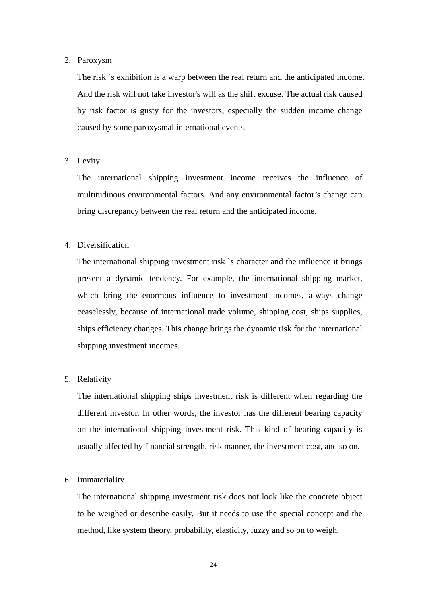#### 2. Paroxysm

The risk `s exhibition is a warp between the real return and the anticipated income. And the risk will not take investor's will as the shift excuse. The actual risk caused by risk factor is gusty for the investors, especially the sudden income change caused by some paroxysmal international events.

# 3. Levity

The international shipping investment income receives the influence of multitudinous environmental factors. And any environmental factor's change can bring discrepancy between the real return and the anticipated income.

## 4. Diversification

The international shipping investment risk `s character and the influence it brings present a dynamic tendency. For example, the international shipping market, which bring the enormous influence to investment incomes, always change ceaselessly, because of international trade volume, shipping cost, ships supplies, ships efficiency changes. This change brings the dynamic risk for the international shipping investment incomes.

## 5. Relativity

The international shipping ships investment risk is different when regarding the different investor. In other words, the investor has the different bearing capacity on the international shipping investment risk. This kind of bearing capacity is usually affected by financial strength, risk manner, the investment cost, and so on.

### 6. Immateriality

The international shipping investment risk does not look like the concrete object to be weighed or describe easily. But it needs to use the special concept and the method, like system theory, probability, elasticity, fuzzy and so on to weigh.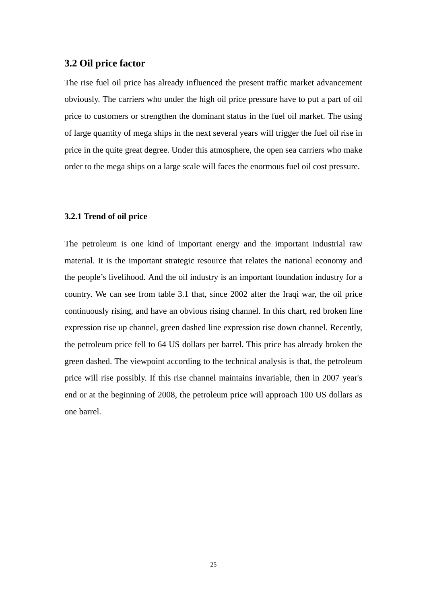## <span id="page-25-0"></span>**3.2 Oil price factor**

The rise fuel oil price has already influenced the present traffic market advancement obviously. The carriers who under the high oil price pressure have to put a part of oil price to customers or strengthen the dominant status in the fuel oil market. The using of large quantity of mega ships in the next several years will trigger the fuel oil rise in price in the quite great degree. Under this atmosphere, the open sea carriers who make order to the mega ships on a large scale will faces the enormous fuel oil cost pressure.

#### **3.2.1 Trend of oil price**

The petroleum is one kind of important energy and the important industrial raw material. It is the important strategic resource that relates the national economy and the people's livelihood. And the oil industry is an important foundation industry for a country. We can see from table 3.1 that, since 2002 after the Iraqi war, the oil price continuously rising, and have an obvious rising channel. In this chart, red broken line expression rise up channel, green dashed line expression rise down channel. Recently, the petroleum price fell to 64 US dollars per barrel. This price has already broken the green dashed. The viewpoint according to the technical analysis is that, the petroleum price will rise possibly. If this rise channel maintains invariable, then in 2007 year's end or at the beginning of 2008, the petroleum price will approach 100 US dollars as one barrel.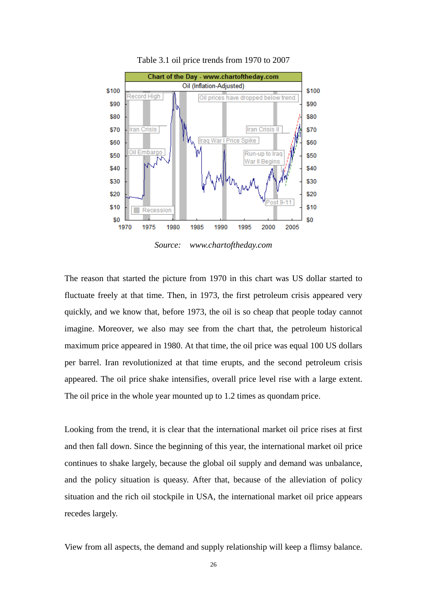

Table 3.1 oil price trends from 1970 to 2007

*Source: www.chartoftheday.com* 

The reason that started the picture from 1970 in this chart was US dollar started to fluctuate freely at that time. Then, in 1973, the first petroleum crisis appeared very quickly, and we know that, before 1973, the oil is so cheap that people today cannot imagine. Moreover, we also may see from the chart that, the petroleum historical maximum price appeared in 1980. At that time, the oil price was equal 100 US dollars per barrel. Iran revolutionized at that time erupts, and the second petroleum crisis appeared. The oil price shake intensifies, overall price level rise with a large extent. The oil price in the whole year mounted up to 1.2 times as quondam price.

Looking from the trend, it is clear that the international market oil price rises at first and then fall down. Since the beginning of this year, the international market oil price continues to shake largely, because the global oil supply and demand was unbalance, and the policy situation is queasy. After that, because of the alleviation of policy situation and the rich oil stockpile in USA, the international market oil price appears recedes largely.

View from all aspects, the demand and supply relationship will keep a flimsy balance.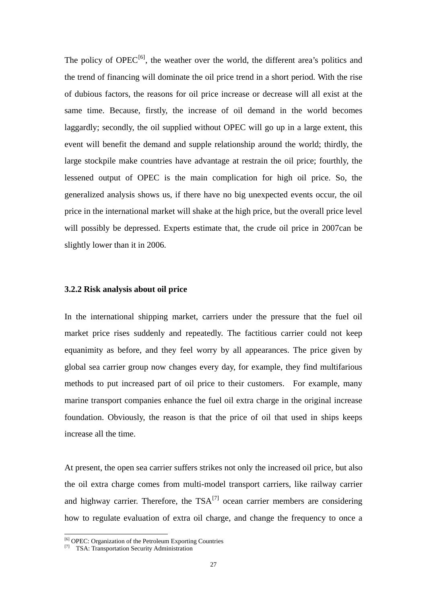<span id="page-27-0"></span>The policy of  $OPEC^{[6]}$  $OPEC^{[6]}$  $OPEC^{[6]}$ , the weather over the world, the different area's politics and the trend of financing will dominate the oil price trend in a short period. With the rise of dubious factors, the reasons for oil price increase or decrease will all exist at the same time. Because, firstly, the increase of oil demand in the world becomes laggardly; secondly, the oil supplied without OPEC will go up in a large extent, this event will benefit the demand and supple relationship around the world; thirdly, the large stockpile make countries have advantage at restrain the oil price; fourthly, the lessened output of OPEC is the main complication for high oil price. So, the generalized analysis shows us, if there have no big unexpected events occur, the oil price in the international market will shake at the high price, but the overall price level will possibly be depressed. Experts estimate that, the crude oil price in 2007can be slightly lower than it in 2006.

#### **3.2.2 Risk analysis about oil price**

In the international shipping market, carriers under the pressure that the fuel oil market price rises suddenly and repeatedly. The factitious carrier could not keep equanimity as before, and they feel worry by all appearances. The price given by global sea carrier group now changes every day, for example, they find multifarious methods to put increased part of oil price to their customers. For example, many marine transport companies enhance the fuel oil extra charge in the original increase foundation. Obviously, the reason is that the price of oil that used in ships keeps increase all the time.

At present, the open sea carrier suffers strikes not only the increased oil price, but also the oil extra charge comes from multi-model transport carriers, like railway carrier and highway carrier. Therefore, the  $TSA^{[7]}$  $TSA^{[7]}$  $TSA^{[7]}$  ocean carrier members are considering how to regulate evaluation of extra oil charge, and change the frequency to once a

<u>.</u>

<span id="page-27-1"></span><sup>[6]</sup> OPEC: Organization of the Petroleum Exporting Countries

<span id="page-27-2"></span><sup>[7]</sup> TSA: Transportation Security Administration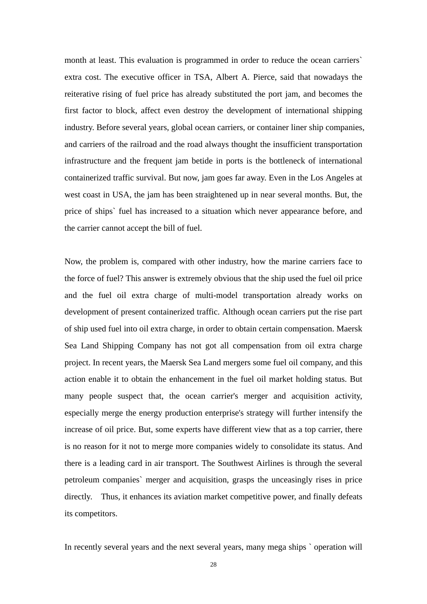month at least. This evaluation is programmed in order to reduce the ocean carriers` extra cost. The executive officer in TSA, Albert A. Pierce, said that nowadays the reiterative rising of fuel price has already substituted the port jam, and becomes the first factor to block, affect even destroy the development of international shipping industry. Before several years, global ocean carriers, or container liner ship companies, and carriers of the railroad and the road always thought the insufficient transportation infrastructure and the frequent jam betide in ports is the bottleneck of international containerized traffic survival. But now, jam goes far away. Even in the Los Angeles at west coast in USA, the jam has been straightened up in near several months. But, the price of ships` fuel has increased to a situation which never appearance before, and the carrier cannot accept the bill of fuel.

Now, the problem is, compared with other industry, how the marine carriers face to the force of fuel? This answer is extremely obvious that the ship used the fuel oil price and the fuel oil extra charge of multi-model transportation already works on development of present containerized traffic. Although ocean carriers put the rise part of ship used fuel into oil extra charge, in order to obtain certain compensation. Maersk Sea Land Shipping Company has not got all compensation from oil extra charge project. In recent years, the Maersk Sea Land mergers some fuel oil company, and this action enable it to obtain the enhancement in the fuel oil market holding status. But many people suspect that, the ocean carrier's merger and acquisition activity, especially merge the energy production enterprise's strategy will further intensify the increase of oil price. But, some experts have different view that as a top carrier, there is no reason for it not to merge more companies widely to consolidate its status. And there is a leading card in air transport. The Southwest Airlines is through the several petroleum companies` merger and acquisition, grasps the unceasingly rises in price directly. Thus, it enhances its aviation market competitive power, and finally defeats its competitors.

In recently several years and the next several years, many mega ships ` operation will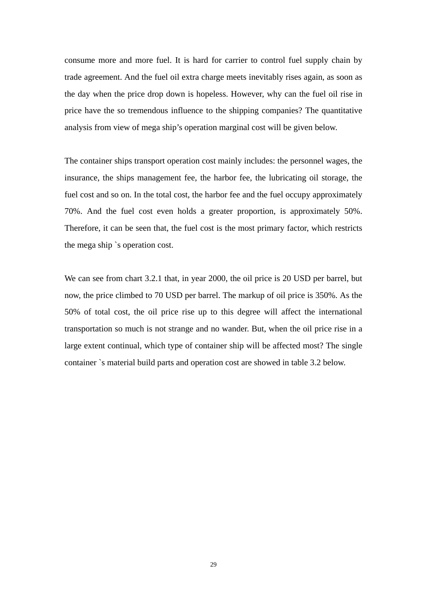consume more and more fuel. It is hard for carrier to control fuel supply chain by trade agreement. And the fuel oil extra charge meets inevitably rises again, as soon as the day when the price drop down is hopeless. However, why can the fuel oil rise in price have the so tremendous influence to the shipping companies? The quantitative analysis from view of mega ship's operation marginal cost will be given below.

The container ships transport operation cost mainly includes: the personnel wages, the insurance, the ships management fee, the harbor fee, the lubricating oil storage, the fuel cost and so on. In the total cost, the harbor fee and the fuel occupy approximately 70%. And the fuel cost even holds a greater proportion, is approximately 50%. Therefore, it can be seen that, the fuel cost is the most primary factor, which restricts the mega ship `s operation cost.

We can see from chart 3.2.1 that, in year 2000, the oil price is 20 USD per barrel, but now, the price climbed to 70 USD per barrel. The markup of oil price is 350%. As the 50% of total cost, the oil price rise up to this degree will affect the international transportation so much is not strange and no wander. But, when the oil price rise in a large extent continual, which type of container ship will be affected most? The single container `s material build parts and operation cost are showed in table 3.2 below.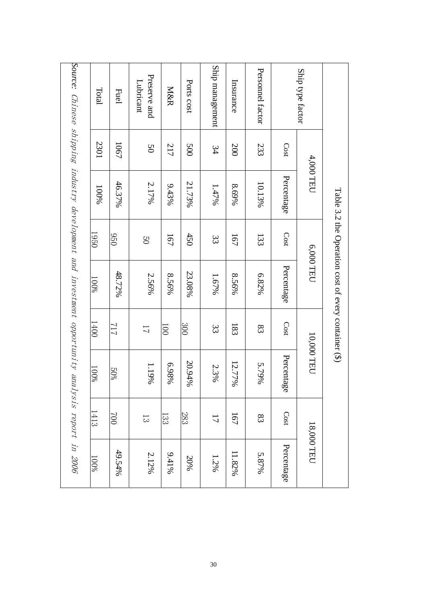| Source: Chinese shipping industry development and investment opportunity analysis report in 2006 | Total<br>2301 | <b>Fuel</b><br>1067 | Preserve and<br>Lubricant<br>50 | M&R<br>217       | Ports cost<br><b>500</b> | Ship management<br>34 | Insurance<br>200 | Personnel factor<br>233 | Cost       | Ship type factor |                                                        |
|--------------------------------------------------------------------------------------------------|---------------|---------------------|---------------------------------|------------------|--------------------------|-----------------------|------------------|-------------------------|------------|------------------|--------------------------------------------------------|
|                                                                                                  | 100%          | 46.37%              | 2.17%                           | $9.43\%$         | 21.73%                   | 1.47%                 | 8.69%            | 10.13%                  | Percentage | 4,000 TEU        |                                                        |
|                                                                                                  | 1950          | 950                 | $\overline{C}$                  | 167              | 450                      | 33                    | 191              | 133                     | Cost       |                  |                                                        |
|                                                                                                  | $100\%$       | 48.72%              | 2.56%                           | 8.56%            | 23.08%                   | 1.67%                 | 8.56%            | 6.82%                   | Percentage | 6,000 TEU        | Table 3.2 the Operation cost of every container $(\$)$ |
|                                                                                                  | 1400          | 717                 | $\overline{L}$                  | $\overline{001}$ | 300                      | 33                    | 183              | 83                      | Cost       |                  |                                                        |
|                                                                                                  | 100%          | 50%                 | 1.19%                           | 6.98%            | 20.94%                   | 2.3%                  | 12.77%           | 5.79%                   | Percentage | 10,000 TEU       |                                                        |
|                                                                                                  | 1413          | 002                 | $\overline{3}$                  | 133              | 283                      | $\overline{L}$        | 167              | 83                      | Cost       |                  |                                                        |
|                                                                                                  | $100\%$       | 49.54%              | 2.12%                           | $9,41\%$         | 20%                      | 1.2%                  | 11.82%           | 5.87%                   | Percentage | 18,000 TEU       |                                                        |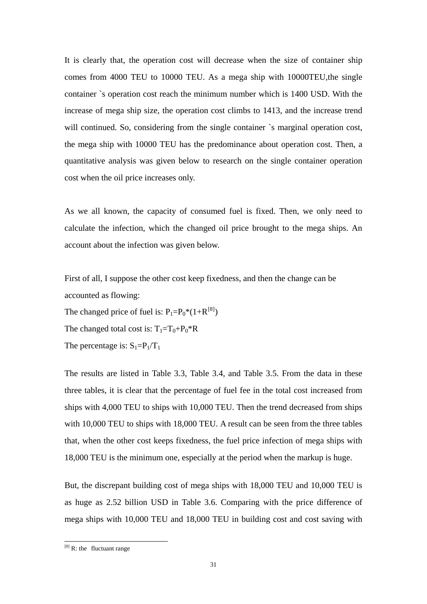It is clearly that, the operation cost will decrease when the size of container ship comes from 4000 TEU to 10000 TEU. As a mega ship with 10000TEU,the single container `s operation cost reach the minimum number which is 1400 USD. With the increase of mega ship size, the operation cost climbs to 1413, and the increase trend will continued. So, considering from the single container `s marginal operation cost, the mega ship with 10000 TEU has the predominance about operation cost. Then, a quantitative analysis was given below to research on the single container operation cost when the oil price increases only.

As we all known, the capacity of consumed fuel is fixed. Then, we only need to calculate the infection, which the changed oil price brought to the mega ships. An account about the infection was given below.

First of all, I suppose the other cost keep fixedness, and then the change can be accounted as flowing:

The changed price of fuel is:  $P_1 = P_0 * (1 + R^{[8]})$  $P_1 = P_0 * (1 + R^{[8]})$  $P_1 = P_0 * (1 + R^{[8]})$ 

The changed total cost is:  $T_1=T_0+P_0*R$ 

The percentage is:  $S_1 = P_1/T_1$ 

The results are listed in Table 3.3, Table 3.4, and Table 3.5. From the data in these three tables, it is clear that the percentage of fuel fee in the total cost increased from ships with 4,000 TEU to ships with 10,000 TEU. Then the trend decreased from ships with 10,000 TEU to ships with 18,000 TEU. A result can be seen from the three tables that, when the other cost keeps fixedness, the fuel price infection of mega ships with 18,000 TEU is the minimum one, especially at the period when the markup is huge.

But, the discrepant building cost of mega ships with 18,000 TEU and 10,000 TEU is as huge as 2.52 billion USD in Table 3.6. Comparing with the price difference of mega ships with 10,000 TEU and 18,000 TEU in building cost and cost saving with

-

<span id="page-31-0"></span> $[8]$  R: the fluctuant range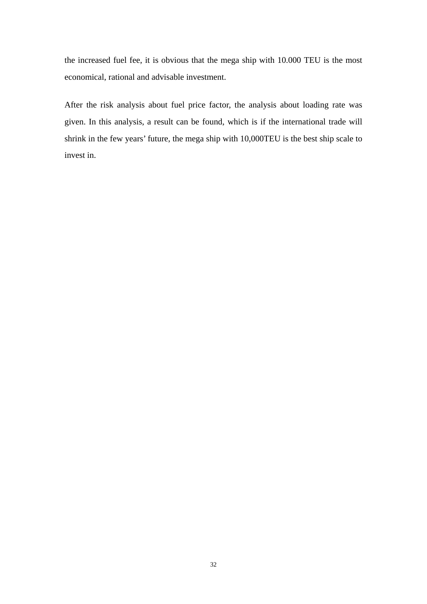the increased fuel fee, it is obvious that the mega ship with 10.000 TEU is the most economical, rational and advisable investment.

After the risk analysis about fuel price factor, the analysis about loading rate was given. In this analysis, a result can be found, which is if the international trade will shrink in the few years' future, the mega ship with 10,000TEU is the best ship scale to invest in.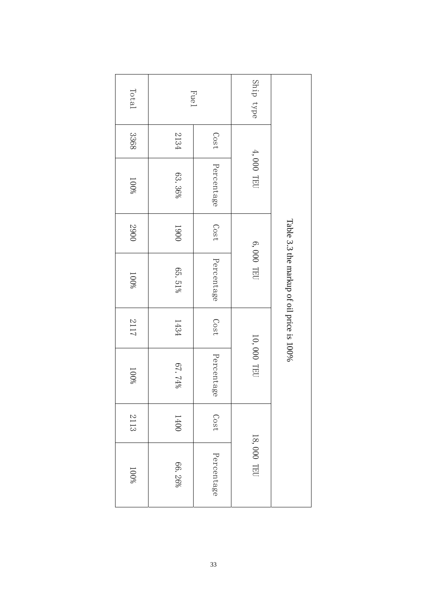| Total |        | <b>Fue1</b> | Ship type  |                                           |
|-------|--------|-------------|------------|-------------------------------------------|
| 3368  | 2134   | Cost        |            |                                           |
| 100%  | 63.36% | Percentage  | 4,000 TEU  |                                           |
| 2900  | 1900   | Cost        |            |                                           |
| 100%  | 65.51% | Percentage  | 6,000 TEU  | Table 3.3 the markup of oil price is 100% |
| 2117  | 1434   | Cost        |            |                                           |
| 100%  | 67.74% | Percentage  | 10,000 TEU |                                           |
| 2113  | 1400   | Cost        |            |                                           |
| 100%  | 66.26% | Percentage  | 18,000 TEU |                                           |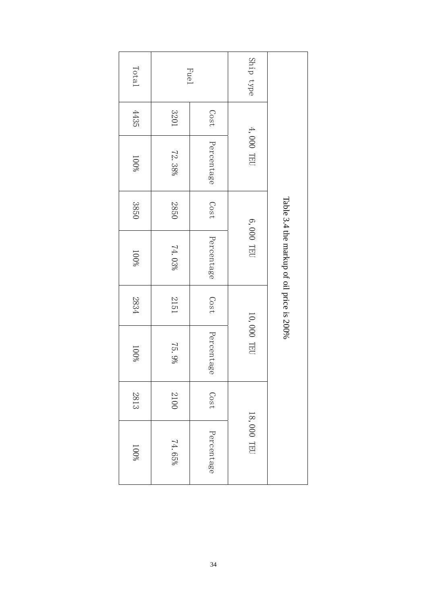| Total   |        | <b>Fue1</b> | Ship type  |                                           |
|---------|--------|-------------|------------|-------------------------------------------|
| 4435    | 1078   | Cost        |            |                                           |
| $100\%$ | 72.38% | Percentage  | 4,000 TEU  |                                           |
| 3850    | 2850   | Cost        |            |                                           |
| 100%    | 74.03% | Percentage  | 6,000 TEU  | Table 3.4 the markup of oil price is 200% |
| 2834    | 1512   | Cost        |            |                                           |
| $100\%$ | 75.9%  | Percentage  | 10,000 TEU |                                           |
| 2813    | 2100   | Cost        |            |                                           |
| 100%    | 74.65% | Percentage  | 18,000 TEU |                                           |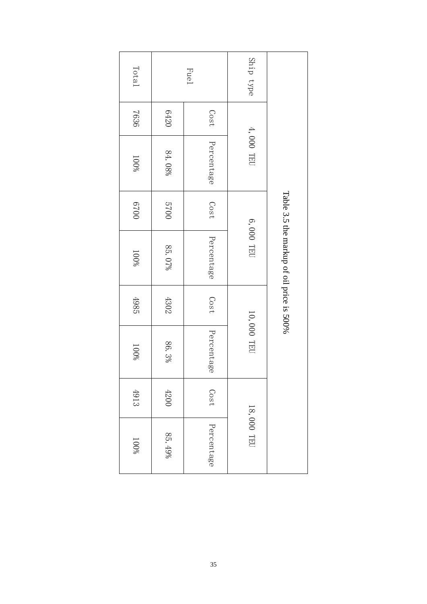| Total   |        | <b>Fuel</b> | Ship type  |                                           |  |
|---------|--------|-------------|------------|-------------------------------------------|--|
| 7636    | 0759   | Cost        |            |                                           |  |
| 100%    | 84.08% | Percentage  | 4,000 TEU  |                                           |  |
| 0029    | 0025   | Cost        |            |                                           |  |
| $100\%$ | 85.07% | Percentage  | 6,000 TEU  | Table 3.5 the markup of oil price is 500% |  |
| 4985    | 4302   | Cost        |            |                                           |  |
| $100\%$ | 86.3%  | Percentage  | 10,000 TEU |                                           |  |
| 4913    | $4200$ | Cost        |            |                                           |  |
| 100%    | 85.49% | Percentage  | 18,000 TEU |                                           |  |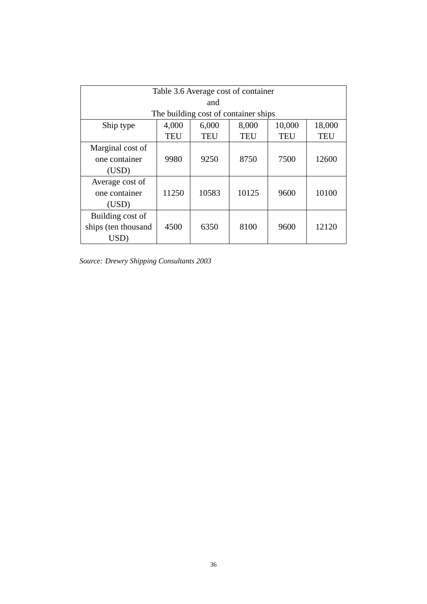| Table 3.6 Average cost of container             |            |            |            |            |            |
|-------------------------------------------------|------------|------------|------------|------------|------------|
| and                                             |            |            |            |            |            |
| The building cost of container ships            |            |            |            |            |            |
| Ship type                                       | 4,000      | 6,000      | 8,000      | 10,000     | 18,000     |
|                                                 | <b>TEU</b> | <b>TEU</b> | <b>TEU</b> | <b>TEU</b> | <b>TEU</b> |
| Marginal cost of<br>one container<br>(USD)      | 9980       | 9250       | 8750       | 7500       | 12600      |
| Average cost of<br>one container<br>(USD)       | 11250      | 10583      | 10125      | 9600       | 10100      |
| Building cost of<br>ships (ten thousand<br>USD) | 4500       | 6350       | 8100       | 9600       | 12120      |

*Source: Drewry Shipping Consultants 2003*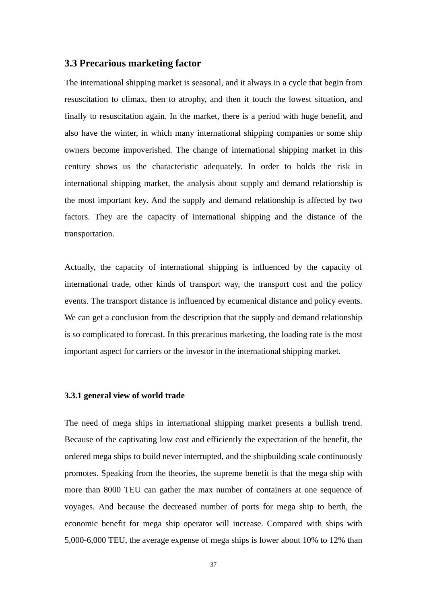# <span id="page-37-0"></span>**3.3 Precarious marketing factor**

The international shipping market is seasonal, and it always in a cycle that begin from resuscitation to climax, then to atrophy, and then it touch the lowest situation, and finally to resuscitation again. In the market, there is a period with huge benefit, and also have the winter, in which many international shipping companies or some ship owners become impoverished. The change of international shipping market in this century shows us the characteristic adequately. In order to holds the risk in international shipping market, the analysis about supply and demand relationship is the most important key. And the supply and demand relationship is affected by two factors. They are the capacity of international shipping and the distance of the transportation.

Actually, the capacity of international shipping is influenced by the capacity of international trade, other kinds of transport way, the transport cost and the policy events. The transport distance is influenced by ecumenical distance and policy events. We can get a conclusion from the description that the supply and demand relationship is so complicated to forecast. In this precarious marketing, the loading rate is the most important aspect for carriers or the investor in the international shipping market.

### **3.3.1 general view of world trade**

The need of mega ships in international shipping market presents a bullish trend. Because of the captivating low cost and efficiently the expectation of the benefit, the ordered mega ships to build never interrupted, and the shipbuilding scale continuously promotes. Speaking from the theories, the supreme benefit is that the mega ship with more than 8000 TEU can gather the max number of containers at one sequence of voyages. And because the decreased number of ports for mega ship to berth, the economic benefit for mega ship operator will increase. Compared with ships with 5,000-6,000 TEU, the average expense of mega ships is lower about 10% to 12% than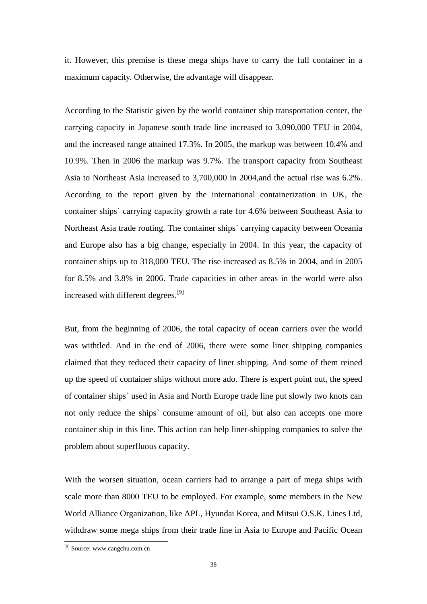it. However, this premise is these mega ships have to carry the full container in a maximum capacity. Otherwise, the advantage will disappear.

According to the Statistic given by the world container ship transportation center, the carrying capacity in Japanese south trade line increased to 3,090,000 TEU in 2004, and the increased range attained 17.3%. In 2005, the markup was between 10.4% and 10.9%. Then in 2006 the markup was 9.7%. The transport capacity from Southeast Asia to Northeast Asia increased to 3,700,000 in 2004,and the actual rise was 6.2%. According to the report given by the international containerization in UK, the container ships` carrying capacity growth a rate for 4.6% between Southeast Asia to Northeast Asia trade routing. The container ships` carrying capacity between Oceania and Europe also has a big change, especially in 2004. In this year, the capacity of container ships up to 318,000 TEU. The rise increased as 8.5% in 2004, and in 2005 for 8.5% and 3.8% in 2006. Trade capacities in other areas in the world were also increased with different degrees.<sup>[\[9\]](#page-38-0)</sup>

But, from the beginning of 2006, the total capacity of ocean carriers over the world was withtled. And in the end of 2006, there were some liner shipping companies claimed that they reduced their capacity of liner shipping. And some of them reined up the speed of container ships without more ado. There is expert point out, the speed of container ships` used in Asia and North Europe trade line put slowly two knots can not only reduce the ships` consume amount of oil, but also can accepts one more container ship in this line. This action can help liner-shipping companies to solve the problem about superfluous capacity.

With the worsen situation, ocean carriers had to arrange a part of mega ships with scale more than 8000 TEU to be employed. For example, some members in the New World Alliance Organization, like APL, Hyundai Korea, and Mitsui O.S.K. Lines Ltd, withdraw some mega ships from their trade line in Asia to Europe and Pacific Ocean

-

<span id="page-38-0"></span><sup>[9]</sup> Source: www.cangchu.com.cn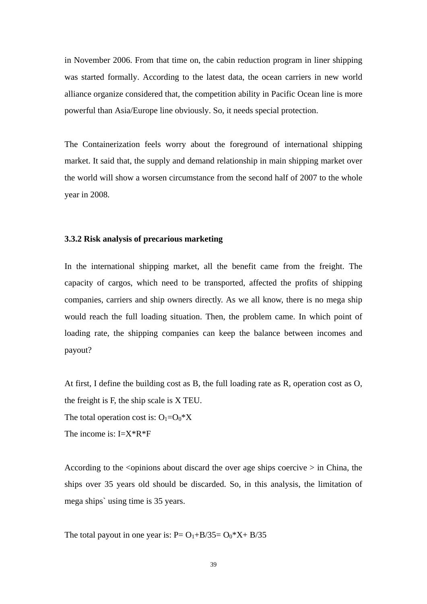<span id="page-39-0"></span>in November 2006. From that time on, the cabin reduction program in liner shipping was started formally. According to the latest data, the ocean carriers in new world alliance organize considered that, the competition ability in Pacific Ocean line is more powerful than Asia/Europe line obviously. So, it needs special protection.

The Containerization feels worry about the foreground of international shipping market. It said that, the supply and demand relationship in main shipping market over the world will show a worsen circumstance from the second half of 2007 to the whole year in 2008.

### **3.3.2 Risk analysis of precarious marketing**

In the international shipping market, all the benefit came from the freight. The capacity of cargos, which need to be transported, affected the profits of shipping companies, carriers and ship owners directly. As we all know, there is no mega ship would reach the full loading situation. Then, the problem came. In which point of loading rate, the shipping companies can keep the balance between incomes and payout?

At first, I define the building cost as B, the full loading rate as R, operation cost as O, the freight is F, the ship scale is X TEU.

The total operation cost is:  $O_1=O_0*X$ 

The income is:  $I = X^*R^*F$ 

According to the  $\le$  opinions about discard the over age ships coercive  $>$  in China, the ships over 35 years old should be discarded. So, in this analysis, the limitation of mega ships` using time is 35 years.

The total payout in one year is:  $P = O_1 + B/35 = O_0 * X + B/35$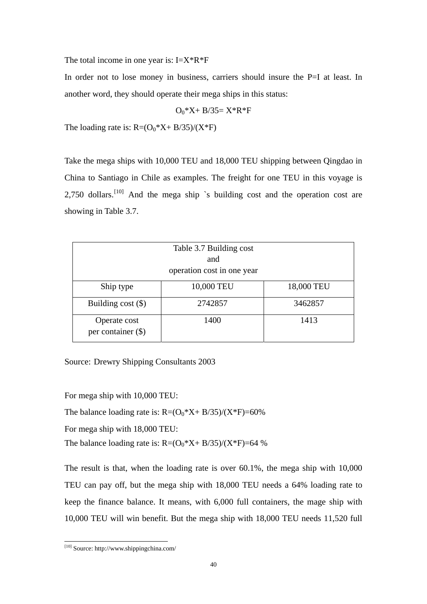The total income in one year is:  $I = X^*R^*F$ 

In order not to lose money in business, carriers should insure the P=I at least. In another word, they should operate their mega ships in this status:

$$
O_0{\rm{ }}^*X{\rm{ }}+B/{\rm{ }}35{\rm{ }}{\rm{ }}-X{\rm{ }}^*R{\rm{ }}^*F
$$

The loading rate is:  $R=(O_0*X+B/35)/(X*F)$ 

Take the mega ships with 10,000 TEU and 18,000 TEU shipping between Qingdao in China to Santiago in Chile as examples. The freight for one TEU in this voyage is 2,750 dollars.<sup>[10]</sup> And the mega ship `s building cost and the operation cost are showing in Table 3.7.

| Table 3.7 Building cost<br>and<br>operation cost in one year |            |            |  |  |
|--------------------------------------------------------------|------------|------------|--|--|
| Ship type                                                    | 10,000 TEU | 18,000 TEU |  |  |
| Building $cost$ (\$)                                         | 2742857    | 3462857    |  |  |
| Operate cost<br>per container $(\$)$                         | 1400       | 1413       |  |  |

Source: Drewry Shipping Consultants 2003

For mega ship with 10,000 TEU:

The balance loading rate is:  $R=(O_0*X+B/35)/(X*F)=60\%$ 

For mega ship with 18,000 TEU:

The balance loading rate is:  $R=(O_0*X+B/35)/(X*F)=64$  %

The result is that, when the loading rate is over 60.1%, the mega ship with 10,000 TEU can pay off, but the mega ship with 18,000 TEU needs a 64% loading rate to keep the finance balance. It means, with 6,000 full containers, the mage ship with 10,000 TEU will win benefit. But the mega ship with 18,000 TEU needs 11,520 full

-

<span id="page-40-0"></span><sup>[10]</sup> Source: http://www.shippingchina.com/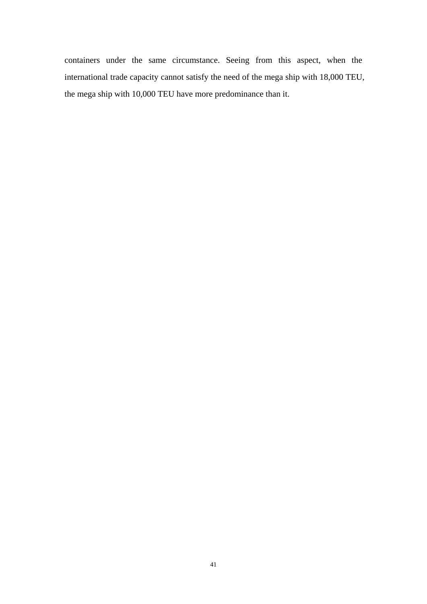containers under the same circumstance. Seeing from this aspect, when the international trade capacity cannot satisfy the need of the mega ship with 18,000 TEU, the mega ship with 10,000 TEU have more predominance than it.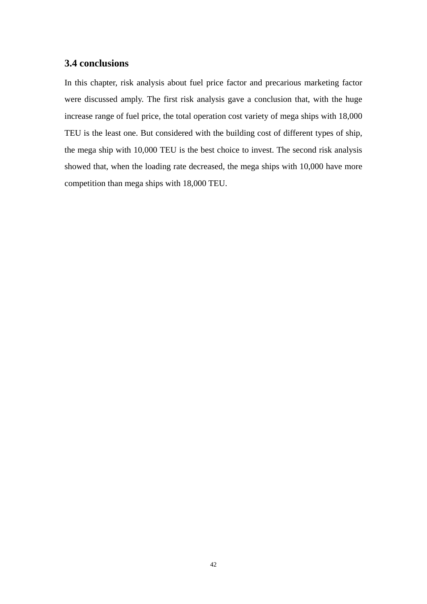# <span id="page-42-0"></span>**3.4 conclusions**

In this chapter, risk analysis about fuel price factor and precarious marketing factor were discussed amply. The first risk analysis gave a conclusion that, with the huge increase range of fuel price, the total operation cost variety of mega ships with 18,000 TEU is the least one. But considered with the building cost of different types of ship, the mega ship with 10,000 TEU is the best choice to invest. The second risk analysis showed that, when the loading rate decreased, the mega ships with 10,000 have more competition than mega ships with 18,000 TEU.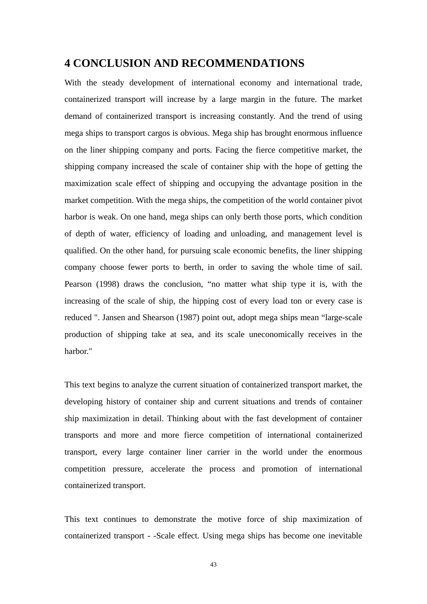# **4 CONCLUSION AND RECOMMENDATIONS**

With the steady development of international economy and international trade, containerized transport will increase by a large margin in the future. The market demand of containerized transport is increasing constantly. And the trend of using mega ships to transport cargos is obvious. Mega ship has brought enormous influence on the liner shipping company and ports. Facing the fierce competitive market, the shipping company increased the scale of container ship with the hope of getting the maximization scale effect of shipping and occupying the advantage position in the market competition. With the mega ships, the competition of the world container pivot harbor is weak. On one hand, mega ships can only berth those ports, which condition of depth of water, efficiency of loading and unloading, and management level is qualified. On the other hand, for pursuing scale economic benefits, the liner shipping company choose fewer ports to berth, in order to saving the whole time of sail. Pearson (1998) draws the conclusion, "no matter what ship type it is, with the increasing of the scale of ship, the hipping cost of every load ton or every case is reduced ". Jansen and Shearson (1987) point out, adopt mega ships mean "large-scale production of shipping take at sea, and its scale uneconomically receives in the harbor."

This text begins to analyze the current situation of containerized transport market, the developing history of container ship and current situations and trends of container ship maximization in detail. Thinking about with the fast development of container transports and more and more fierce competition of international containerized transport, every large container liner carrier in the world under the enormous competition pressure, accelerate the process and promotion of international containerized transport.

This text continues to demonstrate the motive force of ship maximization of containerized transport - -Scale effect. Using mega ships has become one inevitable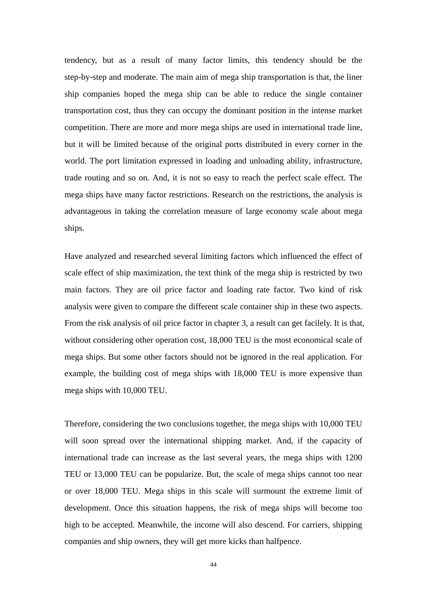tendency, but as a result of many factor limits, this tendency should be the step-by-step and moderate. The main aim of mega ship transportation is that, the liner ship companies hoped the mega ship can be able to reduce the single container transportation cost, thus they can occupy the dominant position in the intense market competition. There are more and more mega ships are used in international trade line, but it will be limited because of the original ports distributed in every corner in the world. The port limitation expressed in loading and unloading ability, infrastructure, trade routing and so on. And, it is not so easy to reach the perfect scale effect. The mega ships have many factor restrictions. Research on the restrictions, the analysis is advantageous in taking the correlation measure of large economy scale about mega ships.

Have analyzed and researched several limiting factors which influenced the effect of scale effect of ship maximization, the text think of the mega ship is restricted by two main factors. They are oil price factor and loading rate factor. Two kind of risk analysis were given to compare the different scale container ship in these two aspects. From the risk analysis of oil price factor in chapter 3, a result can get facilely. It is that, without considering other operation cost, 18,000 TEU is the most economical scale of mega ships. But some other factors should not be ignored in the real application. For example, the building cost of mega ships with 18,000 TEU is more expensive than mega ships with 10,000 TEU.

Therefore, considering the two conclusions together, the mega ships with 10,000 TEU will soon spread over the international shipping market. And, if the capacity of international trade can increase as the last several years, the mega ships with 1200 TEU or 13,000 TEU can be popularize. But, the scale of mega ships cannot too near or over 18,000 TEU. Mega ships in this scale will surmount the extreme limit of development. Once this situation happens, the risk of mega ships will become too high to be accepted. Meanwhile, the income will also descend. For carriers, shipping companies and ship owners, they will get more kicks than halfpence.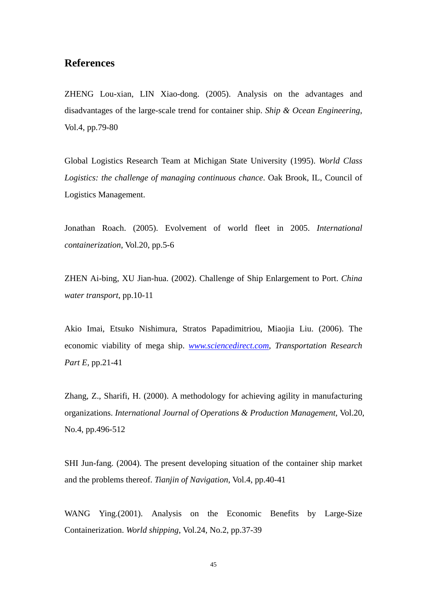# <span id="page-45-0"></span>**References**

ZHENG Lou-xian, LIN Xiao-dong. (2005). Analysis on the advantages and disadvantages of the large-scale trend for container ship. *Ship & Ocean Engineering*, Vol.4, pp.79-80

Global Logistics Research Team at Michigan State University (1995). *World Class Logistics: the challenge of managing continuous chance*. Oak Brook, IL, Council of Logistics Management.

Jonathan Roach. (2005). Evolvement of world fleet in 2005. *International containerization*, Vol.20, pp.5-6

ZHEN Ai-bing, XU Jian-hua. (2002). Challenge of Ship Enlargement to Port. *China water transport*, pp.10-11

Akio Imai, Etsuko Nishimura, Stratos Papadimitriou, Miaojia Liu. (2006). The economic viability of mega ship. *[www.sciencedirect.com](http://www.sciencedirect.com/), Transportation Research Part E*, pp.21-41

Zhang, Z., Sharifi, H. (2000). A methodology for achieving agility in manufacturing organizations. *International Journal of Operations & Production Management*, Vol.20, No.4, pp.496-512

SHI Jun-fang. (2004). The present developing situation of the container ship market and the problems thereof. *Tianjin of Navigation*, Vol.4, pp.40-41

WANG Ying.(2001). Analysis on the Economic Benefits by Large-Size Containerization. *World shipping*, Vol.24, No.2, pp.37-39

45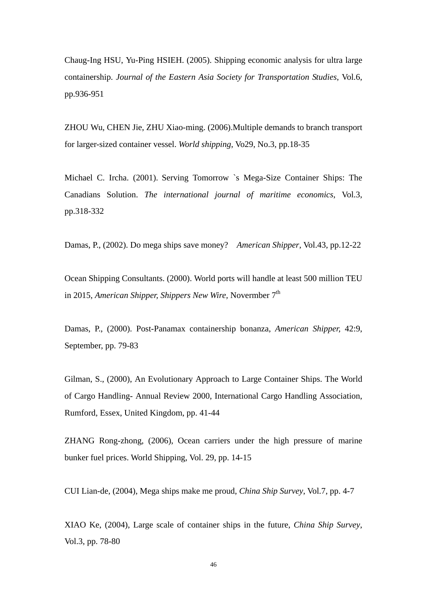Chaug-Ing HSU, Yu-Ping HSIEH. (2005). Shipping economic analysis for ultra large containership. *Journal of the Eastern Asia Society for Transportation Studies*, Vol.6, pp.936-951

ZHOU Wu, CHEN Jie, ZHU Xiao-ming. (2006).Multiple demands to branch transport for larger-sized container vessel. *World shipping*, Vo29, No.3, pp.18-35

Michael C. Ircha. (2001). Serving Tomorrow `s Mega-Size Container Ships: The Canadians Solution. *The international journal of maritime economics*, Vol.3, pp.318-332

Damas, P., (2002). Do mega ships save money? *American Shipper*, Vol.43, pp.12-22

Ocean Shipping Consultants. (2000). World ports will handle at least 500 million TEU in 2015, *American Shipper, Shippers New Wire*, Novermber 7<sup>th</sup>

Damas, P., (2000). Post-Panamax containership bonanza, *American Shipper,* 42:9, September, pp. 79-83

Gilman, S., (2000), An Evolutionary Approach to Large Container Ships. The World of Cargo Handling- Annual Review 2000, International Cargo Handling Association, Rumford, Essex, United Kingdom, pp. 41-44

ZHANG Rong-zhong, (2006), Ocean carriers under the high pressure of marine bunker fuel prices. World Shipping, Vol. 29, pp. 14-15

CUI Lian-de, (2004), Mega ships make me proud, *China Ship Survey*, Vol.7, pp. 4-7

XIAO Ke, (2004), Large scale of container ships in the future, *China Ship Survey*, Vol.3, pp. 78-80